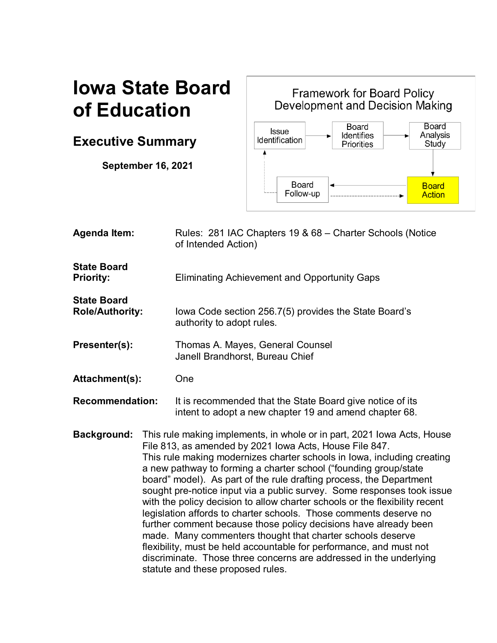# **Iowa State Board of Education**

# **Executive Summary**

**September 16, 2021**

Framework for Board Policy<br>Development and Decision Making Board **Board Issue** Analysis<br>Study **Identifies** Identification Priorities  $\overline{\textbf{A}}$ **Board Board** Follow-up **Action** ь

| <b>Agenda Item:</b>                          |                                                                                                                                                                                                                                                                                                                                                                                                                                                                                                                                                                                                                                                                                                                                                                                                                                                                                                            | Rules: 281 IAC Chapters 19 & 68 - Charter Schools (Notice<br>of Intended Action)                                    |
|----------------------------------------------|------------------------------------------------------------------------------------------------------------------------------------------------------------------------------------------------------------------------------------------------------------------------------------------------------------------------------------------------------------------------------------------------------------------------------------------------------------------------------------------------------------------------------------------------------------------------------------------------------------------------------------------------------------------------------------------------------------------------------------------------------------------------------------------------------------------------------------------------------------------------------------------------------------|---------------------------------------------------------------------------------------------------------------------|
| <b>State Board</b><br><b>Priority:</b>       |                                                                                                                                                                                                                                                                                                                                                                                                                                                                                                                                                                                                                                                                                                                                                                                                                                                                                                            | <b>Eliminating Achievement and Opportunity Gaps</b>                                                                 |
| <b>State Board</b><br><b>Role/Authority:</b> |                                                                                                                                                                                                                                                                                                                                                                                                                                                                                                                                                                                                                                                                                                                                                                                                                                                                                                            | lowa Code section 256.7(5) provides the State Board's<br>authority to adopt rules.                                  |
| Presenter(s):                                |                                                                                                                                                                                                                                                                                                                                                                                                                                                                                                                                                                                                                                                                                                                                                                                                                                                                                                            | Thomas A. Mayes, General Counsel<br>Janell Brandhorst, Bureau Chief                                                 |
| Attachment(s):                               |                                                                                                                                                                                                                                                                                                                                                                                                                                                                                                                                                                                                                                                                                                                                                                                                                                                                                                            | One                                                                                                                 |
| <b>Recommendation:</b>                       |                                                                                                                                                                                                                                                                                                                                                                                                                                                                                                                                                                                                                                                                                                                                                                                                                                                                                                            | It is recommended that the State Board give notice of its<br>intent to adopt a new chapter 19 and amend chapter 68. |
| <b>Background:</b>                           | This rule making implements, in whole or in part, 2021 Iowa Acts, House<br>File 813, as amended by 2021 Iowa Acts, House File 847.<br>This rule making modernizes charter schools in Iowa, including creating<br>a new pathway to forming a charter school ("founding group/state<br>board" model). As part of the rule drafting process, the Department<br>sought pre-notice input via a public survey. Some responses took issue<br>with the policy decision to allow charter schools or the flexibility recent<br>legislation affords to charter schools. Those comments deserve no<br>further comment because those policy decisions have already been<br>made. Many commenters thought that charter schools deserve<br>flexibility, must be held accountable for performance, and must not<br>discriminate. Those three concerns are addressed in the underlying<br>statute and these proposed rules. |                                                                                                                     |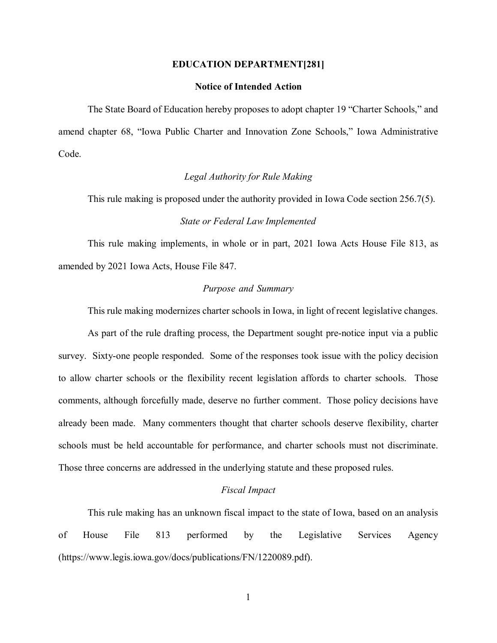#### **EDUCATION DEPARTMENT[281]**

# **Notice of Intended Action**

The State Board of Education hereby proposes to adopt chapter 19 "Charter Schools," and amend chapter 68, "Iowa Public Charter and Innovation Zone Schools," Iowa Administrative Code.

# *Legal Authority for Rule Making*

This rule making is proposed under the authority provided in Iowa Code section 256.7(5).

# *State or Federal Law Implemented*

This rule making implements, in whole or in part, 2021 Iowa Acts House File 813, as amended by 2021 Iowa Acts, House File 847.

#### *Purpose and Summary*

This rule making modernizes charter schools in Iowa, in light of recent legislative changes.

As part of the rule drafting process, the Department sought pre-notice input via a public survey. Sixty-one people responded. Some of the responses took issue with the policy decision to allow charter schools or the flexibility recent legislation affords to charter schools. Those comments, although forcefully made, deserve no further comment. Those policy decisions have already been made. Many commenters thought that charter schools deserve flexibility, charter schools must be held accountable for performance, and charter schools must not discriminate. Those three concerns are addressed in the underlying statute and these proposed rules.

#### *Fiscal Impact*

This rule making has an unknown fiscal impact to the state of Iowa, based on an analysis of House File 813 performed by the Legislative Services Agency (https://www.legis.iowa.gov/docs/publications/FN/1220089.pdf).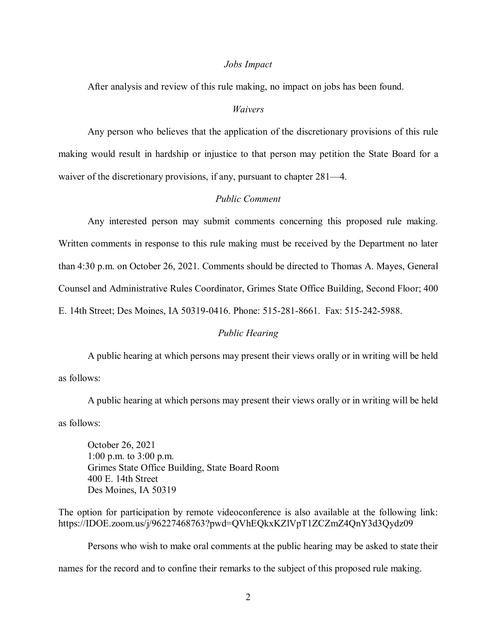#### *Jobs Impact*

After analysis and review of this rule making, no impact on jobs has been found.

# *Waivers*

Any person who believes that the application of the discretionary provisions of this rule making would result in hardship or injustice to that person may petition the State Board for a waiver of the discretionary provisions, if any, pursuant to chapter 281—4.

# *Public Comment*

Any interested person may submit comments concerning this proposed rule making. Written comments in response to this rule making must be received by the Department no later than 4:30 p.m. on October 26, 2021. Comments should be directed to Thomas A. Mayes, General Counsel and Administrative Rules Coordinator, Grimes State Office Building, Second Floor; 400 E. 14th Street; Des Moines, IA 50319-0416. Phone: 515-281-8661. Fax: 515-242-5988.

#### *Public Hearing*

A public hearing at which persons may present their views orally or in writing will be held as follows:

A public hearing at which persons may present their views orally or in writing will be held as follows:

October 26, 2021 1:00 p.m. to 3:00 p.m. Grimes State Office Building, State Board Room 400 E. 14th Street Des Moines, IA 50319

The option for participation by remote videoconference is also available at the following link: https://IDOE.zoom.us/j/96227468763?pwd=QVhEQkxKZlVpT1ZCZmZ4QnY3d3Qydz09

Persons who wish to make oral comments at the public hearing may be asked to state their names for the record and to confine their remarks to the subject of this proposed rule making.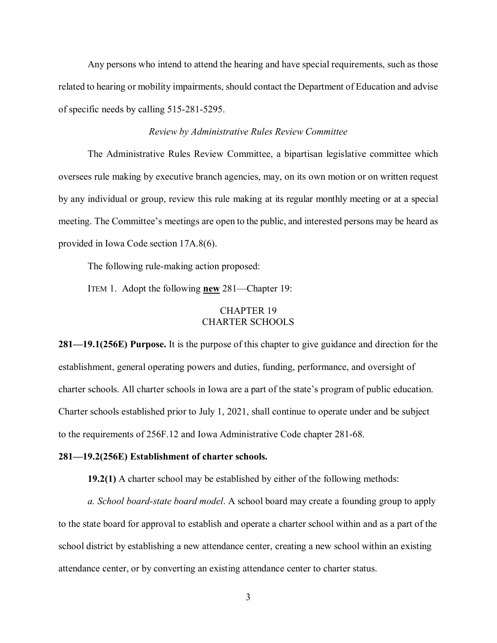Any persons who intend to attend the hearing and have special requirements, such as those related to hearing or mobility impairments, should contact the Department of Education and advise of specific needs by calling 515-281-5295.

# *Review by Administrative Rules Review Committee*

The Administrative Rules Review Committee, a bipartisan legislative committee which oversees rule making by executive branch agencies, may, on its own motion or on written request by any individual or group, review this rule making at its regular monthly meeting or at a special meeting. The Committee's meetings are open to the public, and interested persons may be heard as provided in Iowa Code section 17A.8(6).

The following rule-making action proposed:

ITEM 1. Adopt the following **new** 281—Chapter 19:

# CHAPTER 19 CHARTER SCHOOLS

**281—19.1(256E) Purpose.** It is the purpose of this chapter to give guidance and direction for the establishment, general operating powers and duties, funding, performance, and oversight of charter schools. All charter schools in Iowa are a part of the state's program of public education. Charter schools established prior to July 1, 2021, shall continue to operate under and be subject to the requirements of 256F.12 and Iowa Administrative Code chapter 281-68.

# **281—19.2(256E) Establishment of charter schools.**

**19.2(1)** A charter school may be established by either of the following methods:

*a. School board-state board model*. A school board may create a founding group to apply to the state board for approval to establish and operate a charter school within and as a part of the school district by establishing a new attendance center, creating a new school within an existing attendance center, or by converting an existing attendance center to charter status.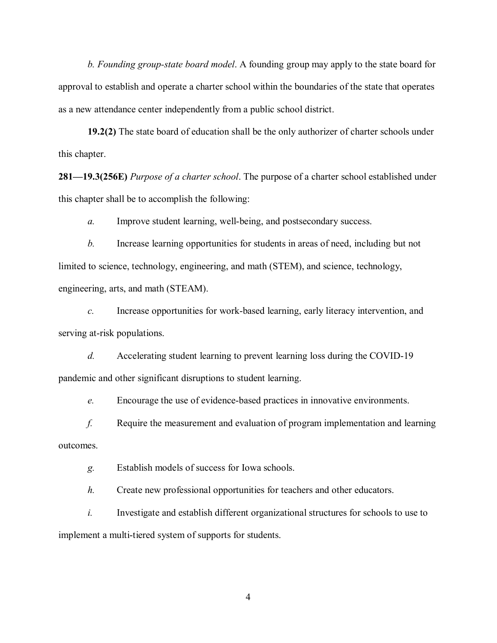*b. Founding group-state board model*. A founding group may apply to the state board for approval to establish and operate a charter school within the boundaries of the state that operates as a new attendance center independently from a public school district.

**19.2(2)** The state board of education shall be the only authorizer of charter schools under this chapter.

**281—19.3(256E)** *Purpose of a charter school*. The purpose of a charter school established under this chapter shall be to accomplish the following:

*a.* Improve student learning, well-being, and postsecondary success.

*b.* Increase learning opportunities for students in areas of need, including but not limited to science, technology, engineering, and math (STEM), and science, technology, engineering, arts, and math (STEAM).

*c.* Increase opportunities for work-based learning, early literacy intervention, and serving at-risk populations.

*d.* Accelerating student learning to prevent learning loss during the COVID-19 pandemic and other significant disruptions to student learning.

*e.* Encourage the use of evidence-based practices in innovative environments.

*f.* Require the measurement and evaluation of program implementation and learning outcomes.

*g.* Establish models of success for Iowa schools.

*h.* Create new professional opportunities for teachers and other educators.

*i.* Investigate and establish different organizational structures for schools to use to implement a multi-tiered system of supports for students.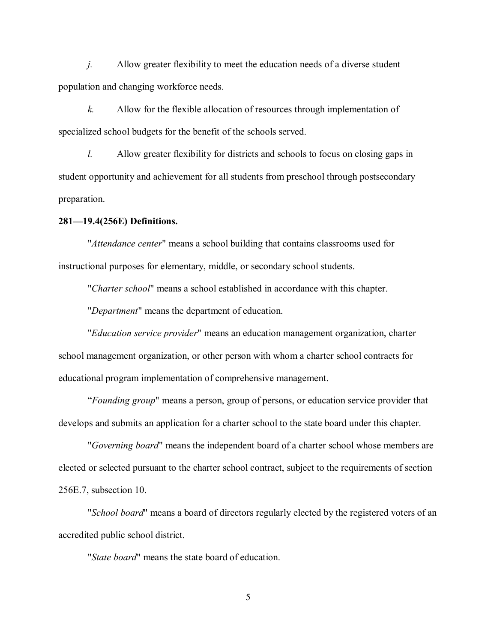*j.* Allow greater flexibility to meet the education needs of a diverse student population and changing workforce needs.

*k.* Allow for the flexible allocation of resources through implementation of specialized school budgets for the benefit of the schools served.

*l.* Allow greater flexibility for districts and schools to focus on closing gaps in student opportunity and achievement for all students from preschool through postsecondary preparation.

#### **281—19.4(256E) Definitions.**

"*Attendance center*" means a school building that contains classrooms used for instructional purposes for elementary, middle, or secondary school students.

"*Charter school*" means a school established in accordance with this chapter.

"*Department*" means the department of education.

"*Education service provider*" means an education management organization, charter school management organization, or other person with whom a charter school contracts for educational program implementation of comprehensive management.

"*Founding group*" means a person, group of persons, or education service provider that develops and submits an application for a charter school to the state board under this chapter.

 "*Governing board*" means the independent board of a charter school whose members are elected or selected pursuant to the charter school contract, subject to the requirements of section 256E.7, subsection 10.

"*School board*" means a board of directors regularly elected by the registered voters of an accredited public school district.

"*State board*" means the state board of education.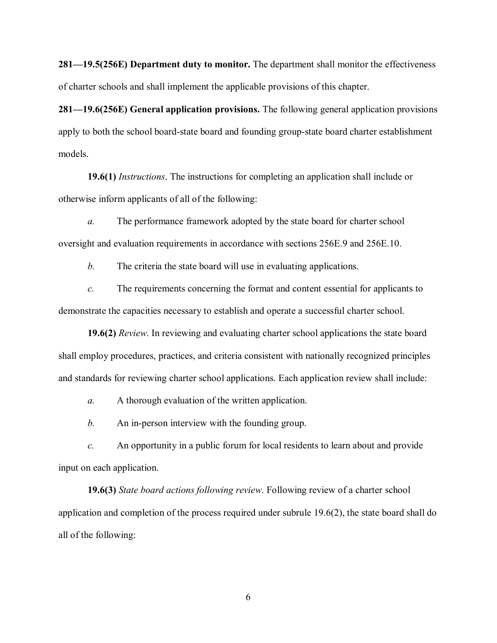**281—19.5(256E) Department duty to monitor.** The department shall monitor the effectiveness of charter schools and shall implement the applicable provisions of this chapter.

**281—19.6(256E) General application provisions.** The following general application provisions apply to both the school board-state board and founding group-state board charter establishment models.

 **19.6(1)** *Instructions*. The instructions for completing an application shall include or otherwise inform applicants of all of the following:

*a.* The performance framework adopted by the state board for charter school oversight and evaluation requirements in accordance with sections 256E.9 and 256E.10.

*b.* The criteria the state board will use in evaluating applications.

*c.* The requirements concerning the format and content essential for applicants to demonstrate the capacities necessary to establish and operate a successful charter school.

 **19.6(2)** *Review*. In reviewing and evaluating charter school applications the state board shall employ procedures, practices, and criteria consistent with nationally recognized principles and standards for reviewing charter school applications. Each application review shall include:

*a.* A thorough evaluation of the written application.

*b.* An in-person interview with the founding group.

*c.* An opportunity in a public forum for local residents to learn about and provide input on each application.

 **19.6(3)** *State board actions following review*. Following review of a charter school application and completion of the process required under subrule 19.6(2), the state board shall do all of the following: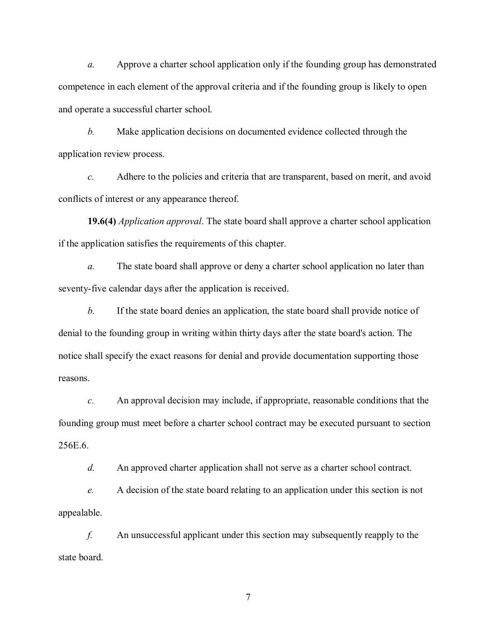*a.* Approve a charter school application only if the founding group has demonstrated competence in each element of the approval criteria and if the founding group is likely to open and operate a successful charter school.

*b.* Make application decisions on documented evidence collected through the application review process.

*c.* Adhere to the policies and criteria that are transparent, based on merit, and avoid conflicts of interest or any appearance thereof.

 **19.6(4)** *Application approval*. The state board shall approve a charter school application if the application satisfies the requirements of this chapter.

*a.* The state board shall approve or deny a charter school application no later than seventy-five calendar days after the application is received.

*b.* If the state board denies an application, the state board shall provide notice of denial to the founding group in writing within thirty days after the state board's action. The notice shall specify the exact reasons for denial and provide documentation supporting those reasons.

*c.* An approval decision may include, if appropriate, reasonable conditions that the founding group must meet before a charter school contract may be executed pursuant to section 256E.6.

*d.* An approved charter application shall not serve as a charter school contract.

*e.* A decision of the state board relating to an application under this section is not appealable.

*f.* An unsuccessful applicant under this section may subsequently reapply to the state board.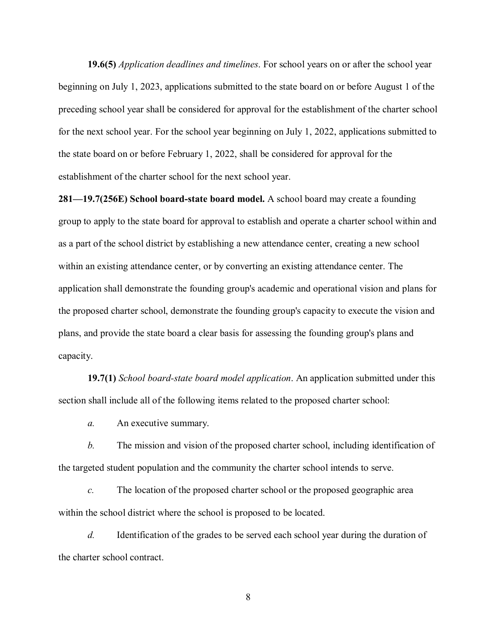**19.6(5)** *Application deadlines and timelines*. For school years on or after the school year beginning on July 1, 2023, applications submitted to the state board on or before August 1 of the preceding school year shall be considered for approval for the establishment of the charter school for the next school year. For the school year beginning on July 1, 2022, applications submitted to the state board on or before February 1, 2022, shall be considered for approval for the establishment of the charter school for the next school year.

**281—19.7(256E) School board-state board model.** A school board may create a founding group to apply to the state board for approval to establish and operate a charter school within and as a part of the school district by establishing a new attendance center, creating a new school within an existing attendance center, or by converting an existing attendance center. The application shall demonstrate the founding group's academic and operational vision and plans for the proposed charter school, demonstrate the founding group's capacity to execute the vision and plans, and provide the state board a clear basis for assessing the founding group's plans and capacity.

 **19.7(1)** *School board-state board model application*. An application submitted under this section shall include all of the following items related to the proposed charter school:

*a.* An executive summary.

*b.* The mission and vision of the proposed charter school, including identification of the targeted student population and the community the charter school intends to serve.

*c.* The location of the proposed charter school or the proposed geographic area within the school district where the school is proposed to be located.

*d.* Identification of the grades to be served each school year during the duration of the charter school contract.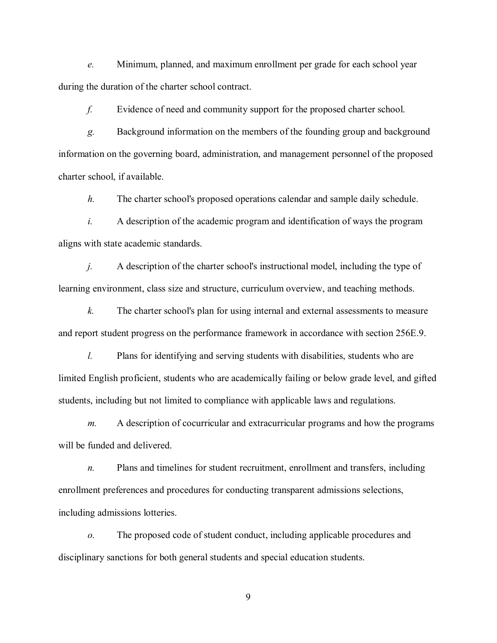*e.* Minimum, planned, and maximum enrollment per grade for each school year during the duration of the charter school contract.

*f.* Evidence of need and community support for the proposed charter school.

*g.* Background information on the members of the founding group and background information on the governing board, administration, and management personnel of the proposed charter school, if available.

*h.* The charter school's proposed operations calendar and sample daily schedule.

*i.* A description of the academic program and identification of ways the program aligns with state academic standards.

*j.* A description of the charter school's instructional model, including the type of learning environment, class size and structure, curriculum overview, and teaching methods.

*k.* The charter school's plan for using internal and external assessments to measure and report student progress on the performance framework in accordance with section 256E.9.

*l.* Plans for identifying and serving students with disabilities, students who are limited English proficient, students who are academically failing or below grade level, and gifted students, including but not limited to compliance with applicable laws and regulations.

*m.* A description of cocurricular and extracurricular programs and how the programs will be funded and delivered.

*n.* Plans and timelines for student recruitment, enrollment and transfers, including enrollment preferences and procedures for conducting transparent admissions selections, including admissions lotteries.

*o.* The proposed code of student conduct, including applicable procedures and disciplinary sanctions for both general students and special education students.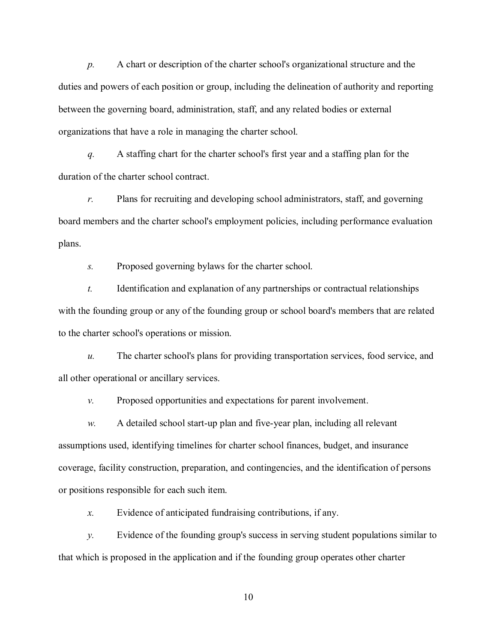*p.* A chart or description of the charter school's organizational structure and the duties and powers of each position or group, including the delineation of authority and reporting between the governing board, administration, staff, and any related bodies or external organizations that have a role in managing the charter school.

*q.* A staffing chart for the charter school's first year and a staffing plan for the duration of the charter school contract.

*r.* Plans for recruiting and developing school administrators, staff, and governing board members and the charter school's employment policies, including performance evaluation plans.

*s.* Proposed governing bylaws for the charter school.

*t.* Identification and explanation of any partnerships or contractual relationships with the founding group or any of the founding group or school board's members that are related to the charter school's operations or mission.

*u.* The charter school's plans for providing transportation services, food service, and all other operational or ancillary services.

*v.* Proposed opportunities and expectations for parent involvement.

*w.* A detailed school start-up plan and five-year plan, including all relevant assumptions used, identifying timelines for charter school finances, budget, and insurance coverage, facility construction, preparation, and contingencies, and the identification of persons or positions responsible for each such item.

*x.* Evidence of anticipated fundraising contributions, if any.

*y.* Evidence of the founding group's success in serving student populations similar to that which is proposed in the application and if the founding group operates other charter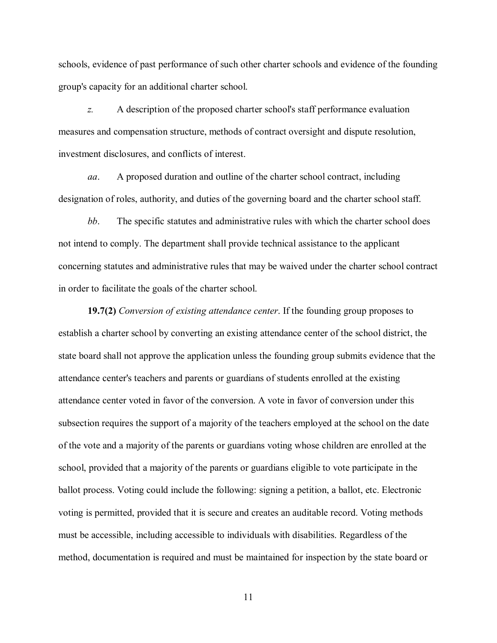schools, evidence of past performance of such other charter schools and evidence of the founding group's capacity for an additional charter school.

*z.* A description of the proposed charter school's staff performance evaluation measures and compensation structure, methods of contract oversight and dispute resolution, investment disclosures, and conflicts of interest.

*aa*. A proposed duration and outline of the charter school contract, including designation of roles, authority, and duties of the governing board and the charter school staff.

*bb*. The specific statutes and administrative rules with which the charter school does not intend to comply. The department shall provide technical assistance to the applicant concerning statutes and administrative rules that may be waived under the charter school contract in order to facilitate the goals of the charter school.

**19.7(2)** *Conversion of existing attendance center*. If the founding group proposes to establish a charter school by converting an existing attendance center of the school district, the state board shall not approve the application unless the founding group submits evidence that the attendance center's teachers and parents or guardians of students enrolled at the existing attendance center voted in favor of the conversion. A vote in favor of conversion under this subsection requires the support of a majority of the teachers employed at the school on the date of the vote and a majority of the parents or guardians voting whose children are enrolled at the school, provided that a majority of the parents or guardians eligible to vote participate in the ballot process. Voting could include the following: signing a petition, a ballot, etc. Electronic voting is permitted, provided that it is secure and creates an auditable record. Voting methods must be accessible, including accessible to individuals with disabilities. Regardless of the method, documentation is required and must be maintained for inspection by the state board or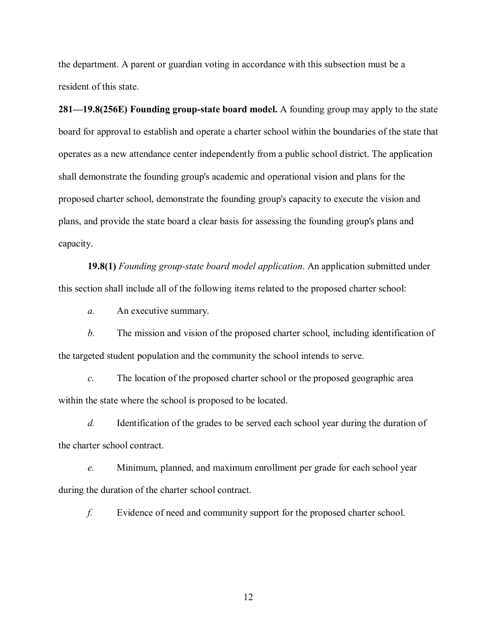the department. A parent or guardian voting in accordance with this subsection must be a resident of this state.

**281—19.8(256E) Founding group-state board model.** A founding group may apply to the state board for approval to establish and operate a charter school within the boundaries of the state that operates as a new attendance center independently from a public school district. The application shall demonstrate the founding group's academic and operational vision and plans for the proposed charter school, demonstrate the founding group's capacity to execute the vision and plans, and provide the state board a clear basis for assessing the founding group's plans and capacity.

**19.8(1)** *Founding group-state board model application*. An application submitted under this section shall include all of the following items related to the proposed charter school:

*a.* An executive summary.

*b.* The mission and vision of the proposed charter school, including identification of the targeted student population and the community the school intends to serve.

*c.* The location of the proposed charter school or the proposed geographic area within the state where the school is proposed to be located.

*d.* Identification of the grades to be served each school year during the duration of the charter school contract.

*e.* Minimum, planned, and maximum enrollment per grade for each school year during the duration of the charter school contract.

*f.* Evidence of need and community support for the proposed charter school.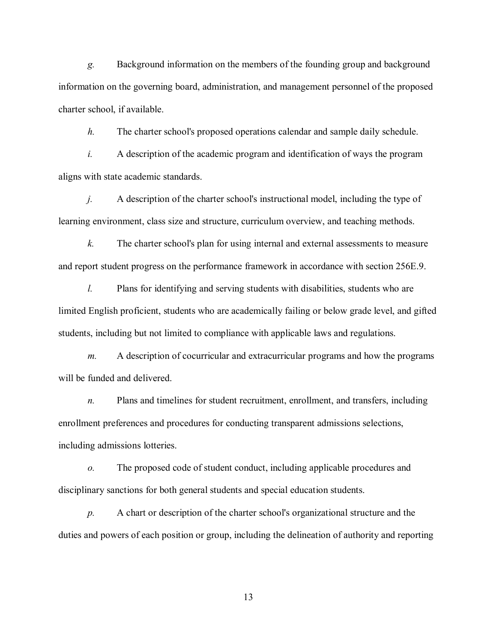*g.* Background information on the members of the founding group and background information on the governing board, administration, and management personnel of the proposed charter school, if available.

*h.* The charter school's proposed operations calendar and sample daily schedule.

*i.* A description of the academic program and identification of ways the program aligns with state academic standards.

*j.* A description of the charter school's instructional model, including the type of learning environment, class size and structure, curriculum overview, and teaching methods.

*k.* The charter school's plan for using internal and external assessments to measure and report student progress on the performance framework in accordance with section 256E.9.

*l.* Plans for identifying and serving students with disabilities, students who are limited English proficient, students who are academically failing or below grade level, and gifted students, including but not limited to compliance with applicable laws and regulations.

*m.* A description of cocurricular and extracurricular programs and how the programs will be funded and delivered.

*n.* Plans and timelines for student recruitment, enrollment, and transfers, including enrollment preferences and procedures for conducting transparent admissions selections, including admissions lotteries.

*o.* The proposed code of student conduct, including applicable procedures and disciplinary sanctions for both general students and special education students.

*p.* A chart or description of the charter school's organizational structure and the duties and powers of each position or group, including the delineation of authority and reporting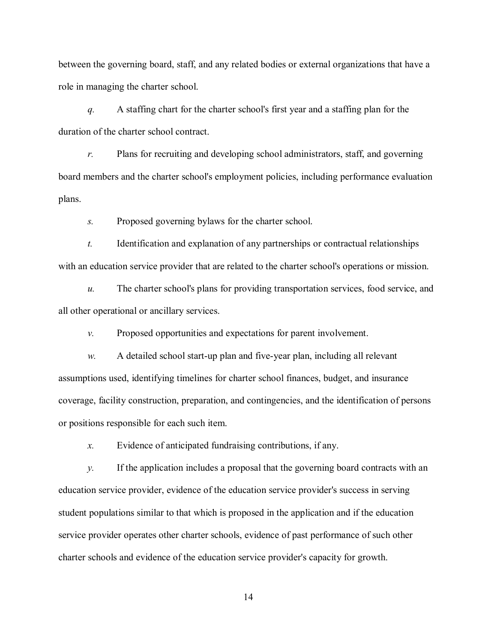between the governing board, staff, and any related bodies or external organizations that have a role in managing the charter school.

*q.* A staffing chart for the charter school's first year and a staffing plan for the duration of the charter school contract.

*r.* Plans for recruiting and developing school administrators, staff, and governing board members and the charter school's employment policies, including performance evaluation plans.

*s.* Proposed governing bylaws for the charter school.

*t.* Identification and explanation of any partnerships or contractual relationships with an education service provider that are related to the charter school's operations or mission.

*u.* The charter school's plans for providing transportation services, food service, and all other operational or ancillary services.

*v.* Proposed opportunities and expectations for parent involvement.

*w.* A detailed school start-up plan and five-year plan, including all relevant assumptions used, identifying timelines for charter school finances, budget, and insurance coverage, facility construction, preparation, and contingencies, and the identification of persons or positions responsible for each such item.

*x.* Evidence of anticipated fundraising contributions, if any.

*y.* If the application includes a proposal that the governing board contracts with an education service provider, evidence of the education service provider's success in serving student populations similar to that which is proposed in the application and if the education service provider operates other charter schools, evidence of past performance of such other charter schools and evidence of the education service provider's capacity for growth.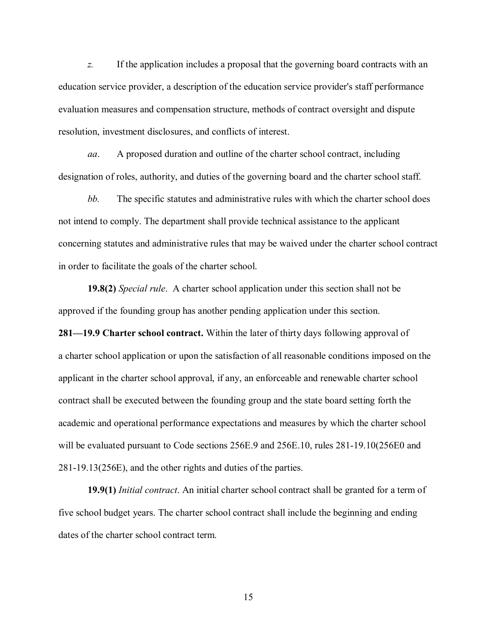*z.* If the application includes a proposal that the governing board contracts with an education service provider, a description of the education service provider's staff performance evaluation measures and compensation structure, methods of contract oversight and dispute resolution, investment disclosures, and conflicts of interest.

*aa*. A proposed duration and outline of the charter school contract, including designation of roles, authority, and duties of the governing board and the charter school staff.

*bb.* The specific statutes and administrative rules with which the charter school does not intend to comply. The department shall provide technical assistance to the applicant concerning statutes and administrative rules that may be waived under the charter school contract in order to facilitate the goals of the charter school.

**19.8(2)** *Special rule*. A charter school application under this section shall not be approved if the founding group has another pending application under this section.

**281—19.9 Charter school contract.** Within the later of thirty days following approval of a charter school application or upon the satisfaction of all reasonable conditions imposed on the applicant in the charter school approval, if any, an enforceable and renewable charter school contract shall be executed between the founding group and the state board setting forth the academic and operational performance expectations and measures by which the charter school will be evaluated pursuant to Code sections 256E.9 and 256E.10, rules 281-19.10(256E0 and 281-19.13(256E), and the other rights and duties of the parties.

**19.9(1)** *Initial contract*. An initial charter school contract shall be granted for a term of five school budget years. The charter school contract shall include the beginning and ending dates of the charter school contract term.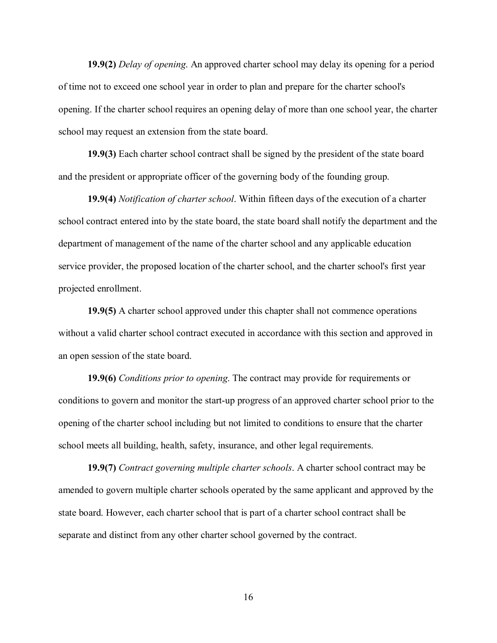**19.9(2)** *Delay of opening*. An approved charter school may delay its opening for a period of time not to exceed one school year in order to plan and prepare for the charter school's opening. If the charter school requires an opening delay of more than one school year, the charter school may request an extension from the state board.

**19.9(3)** Each charter school contract shall be signed by the president of the state board and the president or appropriate officer of the governing body of the founding group.

**19.9(4)** *Notification of charter school*. Within fifteen days of the execution of a charter school contract entered into by the state board, the state board shall notify the department and the department of management of the name of the charter school and any applicable education service provider, the proposed location of the charter school, and the charter school's first year projected enrollment.

**19.9(5)** A charter school approved under this chapter shall not commence operations without a valid charter school contract executed in accordance with this section and approved in an open session of the state board.

**19.9(6)** *Conditions prior to opening*. The contract may provide for requirements or conditions to govern and monitor the start-up progress of an approved charter school prior to the opening of the charter school including but not limited to conditions to ensure that the charter school meets all building, health, safety, insurance, and other legal requirements.

**19.9(7)** *Contract governing multiple charter schools*. A charter school contract may be amended to govern multiple charter schools operated by the same applicant and approved by the state board. However, each charter school that is part of a charter school contract shall be separate and distinct from any other charter school governed by the contract.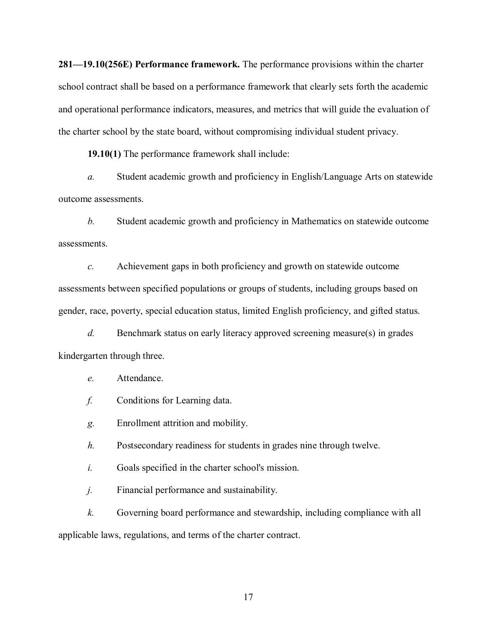**281—19.10(256E) Performance framework.** The performance provisions within the charter school contract shall be based on a performance framework that clearly sets forth the academic and operational performance indicators, measures, and metrics that will guide the evaluation of the charter school by the state board, without compromising individual student privacy.

**19.10(1)** The performance framework shall include:

*a.* Student academic growth and proficiency in English/Language Arts on statewide outcome assessments.

*b.* Student academic growth and proficiency in Mathematics on statewide outcome assessments.

*c.* Achievement gaps in both proficiency and growth on statewide outcome assessments between specified populations or groups of students, including groups based on gender, race, poverty, special education status, limited English proficiency, and gifted status.

*d.* Benchmark status on early literacy approved screening measure(s) in grades kindergarten through three.

# *e.* Attendance.

- *f.* Conditions for Learning data.
- *g.* Enrollment attrition and mobility.

*h.* Postsecondary readiness for students in grades nine through twelve.

*i.* Goals specified in the charter school's mission.

*j.* Financial performance and sustainability.

*k.* Governing board performance and stewardship, including compliance with all applicable laws, regulations, and terms of the charter contract.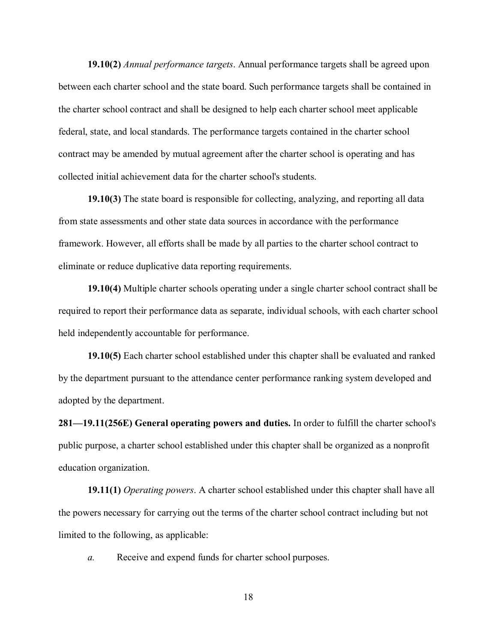**19.10(2)** *Annual performance targets*. Annual performance targets shall be agreed upon between each charter school and the state board. Such performance targets shall be contained in the charter school contract and shall be designed to help each charter school meet applicable federal, state, and local standards. The performance targets contained in the charter school contract may be amended by mutual agreement after the charter school is operating and has collected initial achievement data for the charter school's students.

**19.10(3)** The state board is responsible for collecting, analyzing, and reporting all data from state assessments and other state data sources in accordance with the performance framework. However, all efforts shall be made by all parties to the charter school contract to eliminate or reduce duplicative data reporting requirements.

**19.10(4)** Multiple charter schools operating under a single charter school contract shall be required to report their performance data as separate, individual schools, with each charter school held independently accountable for performance.

**19.10(5)** Each charter school established under this chapter shall be evaluated and ranked by the department pursuant to the attendance center performance ranking system developed and adopted by the department.

**281—19.11(256E) General operating powers and duties.** In order to fulfill the charter school's public purpose, a charter school established under this chapter shall be organized as a nonprofit education organization.

**19.11(1)** *Operating powers*. A charter school established under this chapter shall have all the powers necessary for carrying out the terms of the charter school contract including but not limited to the following, as applicable:

*a.* Receive and expend funds for charter school purposes.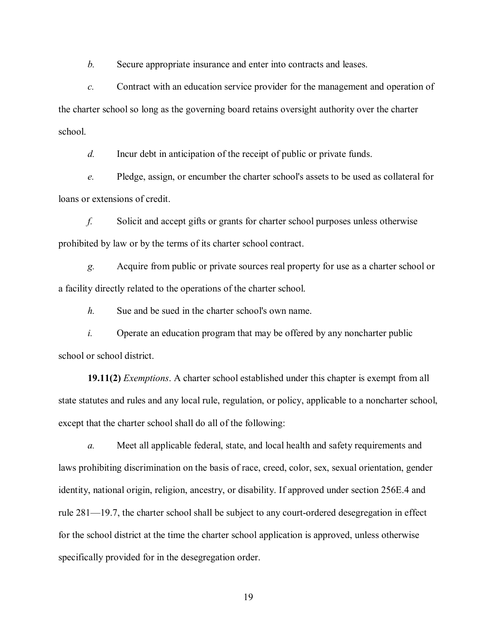*b.* Secure appropriate insurance and enter into contracts and leases.

*c.* Contract with an education service provider for the management and operation of the charter school so long as the governing board retains oversight authority over the charter school.

*d.* Incur debt in anticipation of the receipt of public or private funds.

*e.* Pledge, assign, or encumber the charter school's assets to be used as collateral for loans or extensions of credit.

*f.* Solicit and accept gifts or grants for charter school purposes unless otherwise prohibited by law or by the terms of its charter school contract.

*g.* Acquire from public or private sources real property for use as a charter school or a facility directly related to the operations of the charter school.

*h.* Sue and be sued in the charter school's own name.

*i.* Operate an education program that may be offered by any noncharter public school or school district.

**19.11(2)** *Exemptions*. A charter school established under this chapter is exempt from all state statutes and rules and any local rule, regulation, or policy, applicable to a noncharter school, except that the charter school shall do all of the following:

*a.* Meet all applicable federal, state, and local health and safety requirements and laws prohibiting discrimination on the basis of race, creed, color, sex, sexual orientation, gender identity, national origin, religion, ancestry, or disability. If approved under section 256E.4 and rule 281—19.7, the charter school shall be subject to any court-ordered desegregation in effect for the school district at the time the charter school application is approved, unless otherwise specifically provided for in the desegregation order.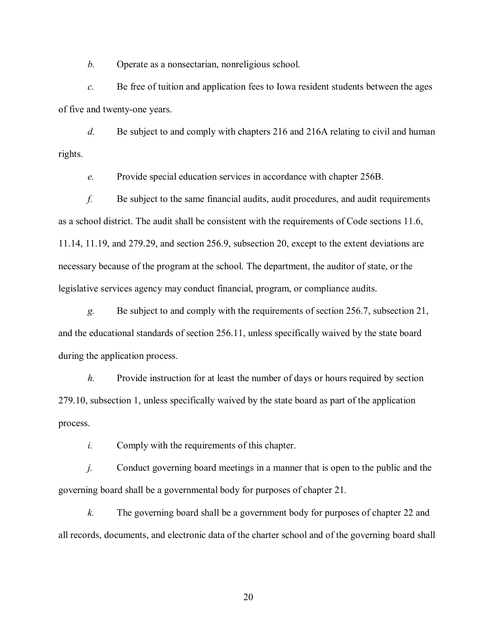*b.* Operate as a nonsectarian, nonreligious school.

*c.* Be free of tuition and application fees to Iowa resident students between the ages of five and twenty-one years.

*d.* Be subject to and comply with chapters 216 and 216A relating to civil and human rights.

*e.* Provide special education services in accordance with chapter 256B.

*f.* Be subject to the same financial audits, audit procedures, and audit requirements as a school district. The audit shall be consistent with the requirements of Code sections 11.6, 11.14, 11.19, and 279.29, and section 256.9, subsection 20, except to the extent deviations are necessary because of the program at the school. The department, the auditor of state, or the legislative services agency may conduct financial, program, or compliance audits.

*g.* Be subject to and comply with the requirements of section 256.7, subsection 21, and the educational standards of section 256.11, unless specifically waived by the state board during the application process.

*h.* Provide instruction for at least the number of days or hours required by section 279.10, subsection 1, unless specifically waived by the state board as part of the application process.

*i.* Comply with the requirements of this chapter.

*j.* Conduct governing board meetings in a manner that is open to the public and the governing board shall be a governmental body for purposes of chapter 21.

*k.* The governing board shall be a government body for purposes of chapter 22 and all records, documents, and electronic data of the charter school and of the governing board shall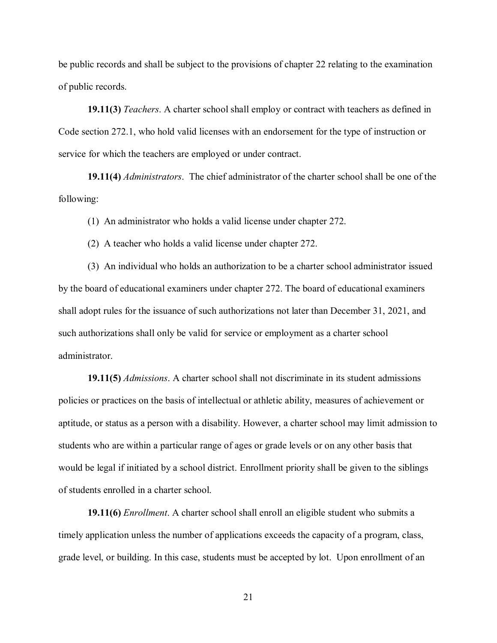be public records and shall be subject to the provisions of chapter 22 relating to the examination of public records.

**19.11(3)** *Teachers*. A charter school shall employ or contract with teachers as defined in Code section 272.1, who hold valid licenses with an endorsement for the type of instruction or service for which the teachers are employed or under contract.

**19.11(4)** *Administrators*. The chief administrator of the charter school shall be one of the following:

(1) An administrator who holds a valid license under chapter 272.

(2) A teacher who holds a valid license under chapter 272.

 (3) An individual who holds an authorization to be a charter school administrator issued by the board of educational examiners under chapter 272. The board of educational examiners shall adopt rules for the issuance of such authorizations not later than December 31, 2021, and such authorizations shall only be valid for service or employment as a charter school administrator.

**19.11(5)** *Admissions*. A charter school shall not discriminate in its student admissions policies or practices on the basis of intellectual or athletic ability, measures of achievement or aptitude, or status as a person with a disability. However, a charter school may limit admission to students who are within a particular range of ages or grade levels or on any other basis that would be legal if initiated by a school district. Enrollment priority shall be given to the siblings of students enrolled in a charter school.

**19.11(6)** *Enrollment*. A charter school shall enroll an eligible student who submits a timely application unless the number of applications exceeds the capacity of a program, class, grade level, or building. In this case, students must be accepted by lot. Upon enrollment of an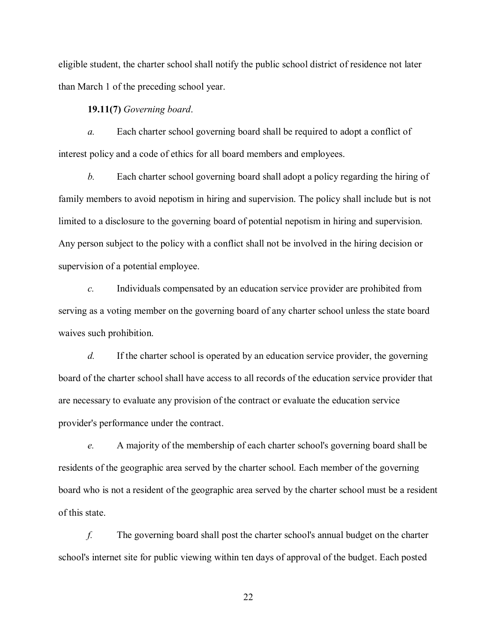eligible student, the charter school shall notify the public school district of residence not later than March 1 of the preceding school year.

**19.11(7)** *Governing board*.

*a.* Each charter school governing board shall be required to adopt a conflict of interest policy and a code of ethics for all board members and employees.

*b.* Each charter school governing board shall adopt a policy regarding the hiring of family members to avoid nepotism in hiring and supervision. The policy shall include but is not limited to a disclosure to the governing board of potential nepotism in hiring and supervision. Any person subject to the policy with a conflict shall not be involved in the hiring decision or supervision of a potential employee.

*c.* Individuals compensated by an education service provider are prohibited from serving as a voting member on the governing board of any charter school unless the state board waives such prohibition.

*d.* If the charter school is operated by an education service provider, the governing board of the charter school shall have access to all records of the education service provider that are necessary to evaluate any provision of the contract or evaluate the education service provider's performance under the contract.

*e.* A majority of the membership of each charter school's governing board shall be residents of the geographic area served by the charter school. Each member of the governing board who is not a resident of the geographic area served by the charter school must be a resident of this state.

*f.* The governing board shall post the charter school's annual budget on the charter school's internet site for public viewing within ten days of approval of the budget. Each posted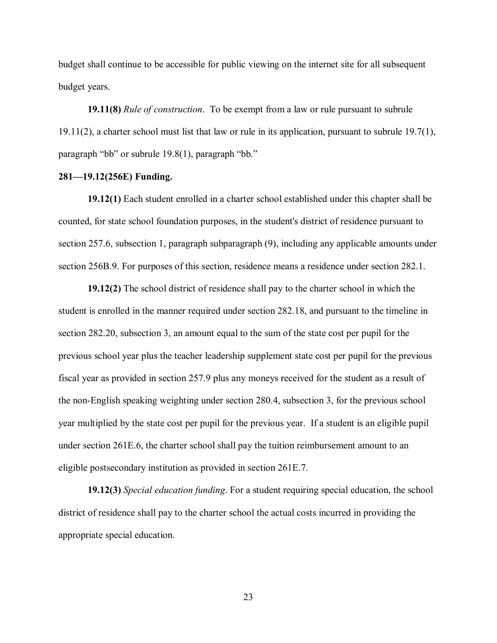budget shall continue to be accessible for public viewing on the internet site for all subsequent budget years.

**19.11(8)** *Rule of construction*. To be exempt from a law or rule pursuant to subrule 19.11(2), a charter school must list that law or rule in its application, pursuant to subrule 19.7(1), paragraph "bb" or subrule 19.8(1), paragraph "bb."

# **281—19.12(256E) Funding.**

**19.12(1)** Each student enrolled in a charter school established under this chapter shall be counted, for state school foundation purposes, in the student's district of residence pursuant to section 257.6, subsection 1, paragraph subparagraph (9), including any applicable amounts under section 256B.9. For purposes of this section, residence means a residence under section 282.1.

**19.12(2)** The school district of residence shall pay to the charter school in which the student is enrolled in the manner required under section 282.18, and pursuant to the timeline in section 282.20, subsection 3, an amount equal to the sum of the state cost per pupil for the previous school year plus the teacher leadership supplement state cost per pupil for the previous fiscal year as provided in section 257.9 plus any moneys received for the student as a result of the non-English speaking weighting under section 280.4, subsection 3, for the previous school year multiplied by the state cost per pupil for the previous year. If a student is an eligible pupil under section 261E.6, the charter school shall pay the tuition reimbursement amount to an eligible postsecondary institution as provided in section 261E.7.

**19.12(3)** *Special education funding*. For a student requiring special education, the school district of residence shall pay to the charter school the actual costs incurred in providing the appropriate special education.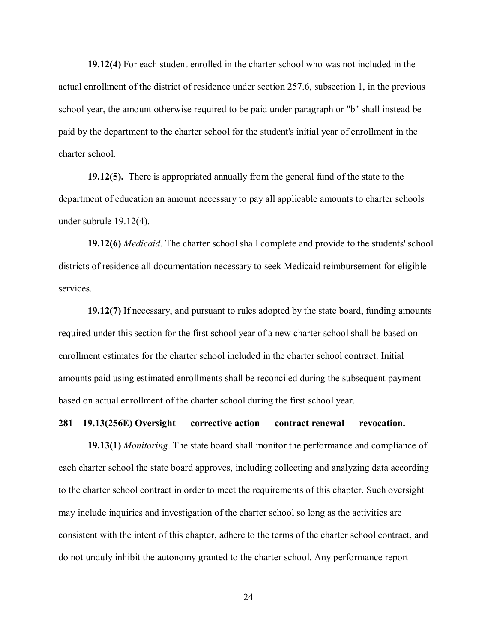**19.12(4)** For each student enrolled in the charter school who was not included in the actual enrollment of the district of residence under section 257.6, subsection 1, in the previous school year, the amount otherwise required to be paid under paragraph or "b" shall instead be paid by the department to the charter school for the student's initial year of enrollment in the charter school.

**19.12(5).** There is appropriated annually from the general fund of the state to the department of education an amount necessary to pay all applicable amounts to charter schools under subrule 19.12(4).

**19.12(6)** *Medicaid*. The charter school shall complete and provide to the students' school districts of residence all documentation necessary to seek Medicaid reimbursement for eligible services.

**19.12(7)** If necessary, and pursuant to rules adopted by the state board, funding amounts required under this section for the first school year of a new charter school shall be based on enrollment estimates for the charter school included in the charter school contract. Initial amounts paid using estimated enrollments shall be reconciled during the subsequent payment based on actual enrollment of the charter school during the first school year.

# **281—19.13(256E) Oversight — corrective action — contract renewal — revocation.**

**19.13(1)** *Monitoring*. The state board shall monitor the performance and compliance of each charter school the state board approves, including collecting and analyzing data according to the charter school contract in order to meet the requirements of this chapter. Such oversight may include inquiries and investigation of the charter school so long as the activities are consistent with the intent of this chapter, adhere to the terms of the charter school contract, and do not unduly inhibit the autonomy granted to the charter school. Any performance report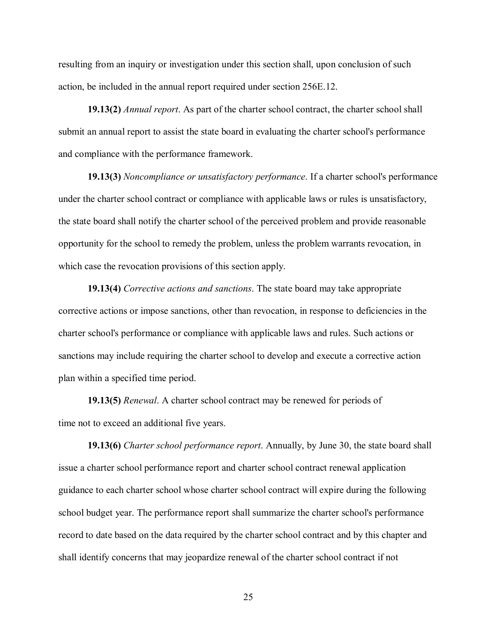resulting from an inquiry or investigation under this section shall, upon conclusion of such action, be included in the annual report required under section 256E.12.

**19.13(2)** *Annual report*. As part of the charter school contract, the charter school shall submit an annual report to assist the state board in evaluating the charter school's performance and compliance with the performance framework.

**19.13(3)** *Noncompliance or unsatisfactory performance*. If a charter school's performance under the charter school contract or compliance with applicable laws or rules is unsatisfactory, the state board shall notify the charter school of the perceived problem and provide reasonable opportunity for the school to remedy the problem, unless the problem warrants revocation, in which case the revocation provisions of this section apply.

**19.13(4)** *Corrective actions and sanctions*. The state board may take appropriate corrective actions or impose sanctions, other than revocation, in response to deficiencies in the charter school's performance or compliance with applicable laws and rules. Such actions or sanctions may include requiring the charter school to develop and execute a corrective action plan within a specified time period.

**19.13(5)** *Renewal*. A charter school contract may be renewed for periods of time not to exceed an additional five years.

**19.13(6)** *Charter school performance report*. Annually, by June 30, the state board shall issue a charter school performance report and charter school contract renewal application guidance to each charter school whose charter school contract will expire during the following school budget year. The performance report shall summarize the charter school's performance record to date based on the data required by the charter school contract and by this chapter and shall identify concerns that may jeopardize renewal of the charter school contract if not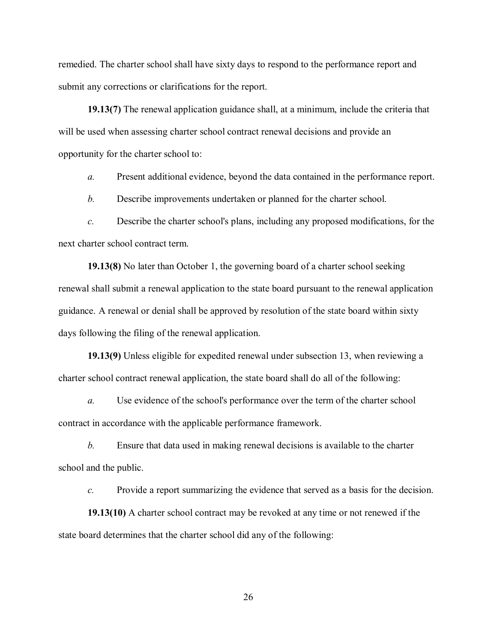remedied. The charter school shall have sixty days to respond to the performance report and submit any corrections or clarifications for the report.

**19.13(7)** The renewal application guidance shall, at a minimum, include the criteria that will be used when assessing charter school contract renewal decisions and provide an opportunity for the charter school to:

*a.* Present additional evidence, beyond the data contained in the performance report.

*b.* Describe improvements undertaken or planned for the charter school.

*c.* Describe the charter school's plans, including any proposed modifications, for the next charter school contract term.

**19.13(8)** No later than October 1, the governing board of a charter school seeking renewal shall submit a renewal application to the state board pursuant to the renewal application guidance. A renewal or denial shall be approved by resolution of the state board within sixty days following the filing of the renewal application.

**19.13(9)** Unless eligible for expedited renewal under subsection 13, when reviewing a charter school contract renewal application, the state board shall do all of the following:

*a.* Use evidence of the school's performance over the term of the charter school contract in accordance with the applicable performance framework.

*b.* Ensure that data used in making renewal decisions is available to the charter school and the public.

*c.* Provide a report summarizing the evidence that served as a basis for the decision.

**19.13(10)** A charter school contract may be revoked at any time or not renewed if the state board determines that the charter school did any of the following: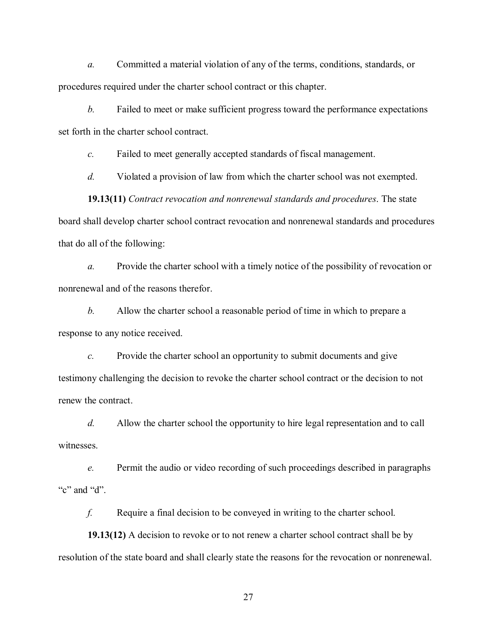*a.* Committed a material violation of any of the terms, conditions, standards, or procedures required under the charter school contract or this chapter.

*b.* Failed to meet or make sufficient progress toward the performance expectations set forth in the charter school contract.

*c.* Failed to meet generally accepted standards of fiscal management.

*d.* Violated a provision of law from which the charter school was not exempted.

**19.13(11)** *Contract revocation and nonrenewal standards and procedures*. The state board shall develop charter school contract revocation and nonrenewal standards and procedures that do all of the following:

*a.* Provide the charter school with a timely notice of the possibility of revocation or nonrenewal and of the reasons therefor.

*b.* Allow the charter school a reasonable period of time in which to prepare a response to any notice received.

*c.* Provide the charter school an opportunity to submit documents and give testimony challenging the decision to revoke the charter school contract or the decision to not renew the contract.

*d.* Allow the charter school the opportunity to hire legal representation and to call witnesses.

*e.* Permit the audio or video recording of such proceedings described in paragraphs "c" and "d".

*f.* Require a final decision to be conveyed in writing to the charter school.

**19.13(12)** A decision to revoke or to not renew a charter school contract shall be by resolution of the state board and shall clearly state the reasons for the revocation or nonrenewal.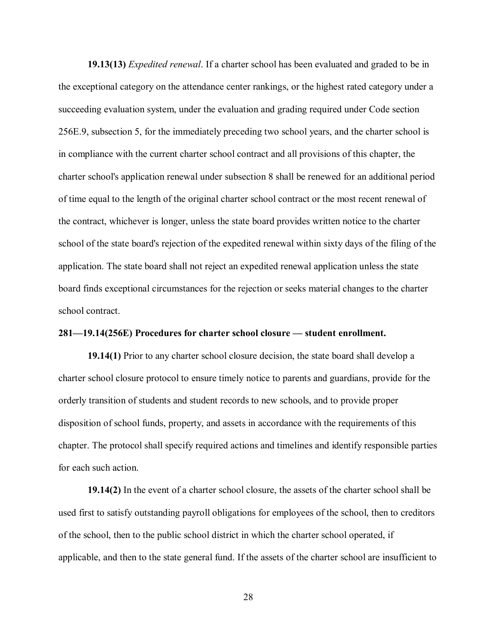**19.13(13)** *Expedited renewal*. If a charter school has been evaluated and graded to be in the exceptional category on the attendance center rankings, or the highest rated category under a succeeding evaluation system, under the evaluation and grading required under Code section 256E.9, subsection 5, for the immediately preceding two school years, and the charter school is in compliance with the current charter school contract and all provisions of this chapter, the charter school's application renewal under subsection 8 shall be renewed for an additional period of time equal to the length of the original charter school contract or the most recent renewal of the contract, whichever is longer, unless the state board provides written notice to the charter school of the state board's rejection of the expedited renewal within sixty days of the filing of the application. The state board shall not reject an expedited renewal application unless the state board finds exceptional circumstances for the rejection or seeks material changes to the charter school contract.

# **281—19.14(256E) Procedures for charter school closure — student enrollment.**

**19.14(1)** Prior to any charter school closure decision, the state board shall develop a charter school closure protocol to ensure timely notice to parents and guardians, provide for the orderly transition of students and student records to new schools, and to provide proper disposition of school funds, property, and assets in accordance with the requirements of this chapter. The protocol shall specify required actions and timelines and identify responsible parties for each such action.

**19.14(2)** In the event of a charter school closure, the assets of the charter school shall be used first to satisfy outstanding payroll obligations for employees of the school, then to creditors of the school, then to the public school district in which the charter school operated, if applicable, and then to the state general fund. If the assets of the charter school are insufficient to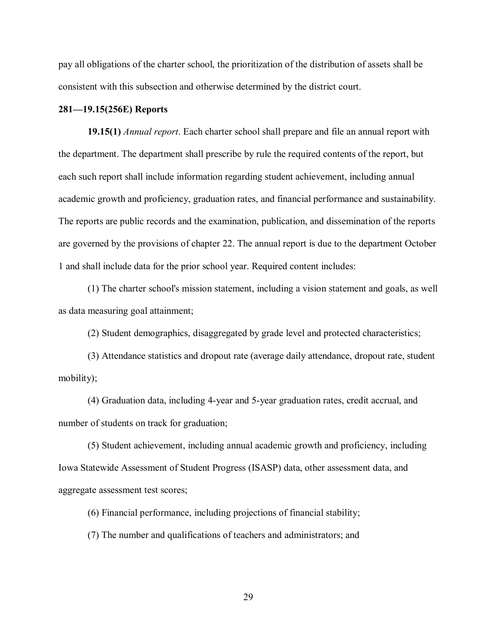pay all obligations of the charter school, the prioritization of the distribution of assets shall be consistent with this subsection and otherwise determined by the district court.

## **281—19.15(256E) Reports**

**19.15(1)** *Annual report*. Each charter school shall prepare and file an annual report with the department. The department shall prescribe by rule the required contents of the report, but each such report shall include information regarding student achievement, including annual academic growth and proficiency, graduation rates, and financial performance and sustainability. The reports are public records and the examination, publication, and dissemination of the reports are governed by the provisions of chapter 22. The annual report is due to the department October 1 and shall include data for the prior school year. Required content includes:

(1) The charter school's mission statement, including a vision statement and goals, as well as data measuring goal attainment;

(2) Student demographics, disaggregated by grade level and protected characteristics;

(3) Attendance statistics and dropout rate (average daily attendance, dropout rate, student mobility);

(4) Graduation data, including 4-year and 5-year graduation rates, credit accrual, and number of students on track for graduation;

(5) Student achievement, including annual academic growth and proficiency, including Iowa Statewide Assessment of Student Progress (ISASP) data, other assessment data, and aggregate assessment test scores;

(6) Financial performance, including projections of financial stability;

(7) The number and qualifications of teachers and administrators; and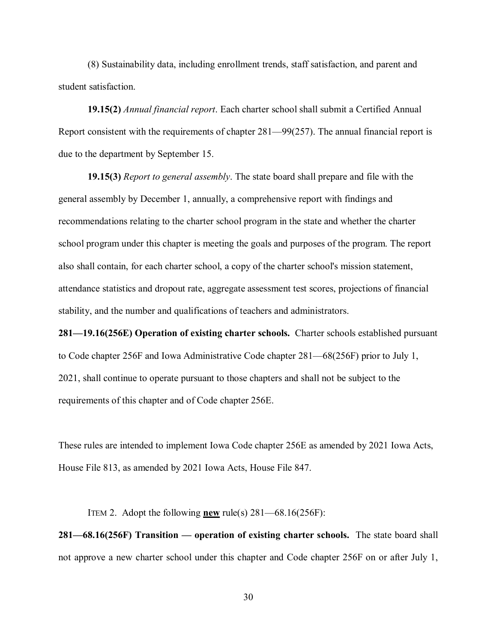(8) Sustainability data, including enrollment trends, staff satisfaction, and parent and student satisfaction.

**19.15(2)** *Annual financial report*. Each charter school shall submit a Certified Annual Report consistent with the requirements of chapter 281—99(257). The annual financial report is due to the department by September 15.

**19.15(3)** *Report to general assembly*. The state board shall prepare and file with the general assembly by December 1, annually, a comprehensive report with findings and recommendations relating to the charter school program in the state and whether the charter school program under this chapter is meeting the goals and purposes of the program. The report also shall contain, for each charter school, a copy of the charter school's mission statement, attendance statistics and dropout rate, aggregate assessment test scores, projections of financial stability, and the number and qualifications of teachers and administrators.

**281—19.16(256E) Operation of existing charter schools.** Charter schools established pursuant to Code chapter 256F and Iowa Administrative Code chapter 281—68(256F) prior to July 1, 2021, shall continue to operate pursuant to those chapters and shall not be subject to the requirements of this chapter and of Code chapter 256E.

These rules are intended to implement Iowa Code chapter 256E as amended by 2021 Iowa Acts, House File 813, as amended by 2021 Iowa Acts, House File 847.

ITEM 2. Adopt the following **new** rule(s)  $281-68.16(256F)$ :

**281—68.16(256F) Transition — operation of existing charter schools.** The state board shall not approve a new charter school under this chapter and Code chapter 256F on or after July 1,